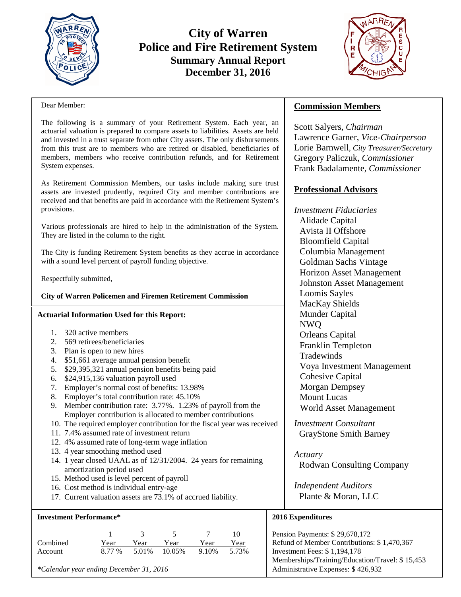

# **City of Warren Police and Fire Retirement System Summary Annual Report December 31, 2016**



#### Dear Member:

The following is a summary of your Retirement System. Each year, an actuarial valuation is prepared to compare assets to liabilities. Assets are held and invested in a trust separate from other City assets. The only disbursements from this trust are to members who are retired or disabled, beneficiaries of members, members who receive contribution refunds, and for Retirement System expenses.

As Retirement Commission Members, our tasks include making sure trust assets are invested prudently, required City and member contributions are received and that benefits are paid in accordance with the Retirement System's provisions.

Various professionals are hired to help in the administration of the System. They are listed in the column to the right.

The City is funding Retirement System benefits as they accrue in accordance with a sound level percent of payroll funding objective.

Respectfully submitted,

### **City of Warren Policemen and Firemen Retirement Commission**

### **Actuarial Information Used for this Report:**

- 1. 320 active members
- 2. 569 retirees/beneficiaries
- 3. Plan is open to new hires
- 4. \$51,661 average annual pension benefit
- 5. \$29,395,321 annual pension benefits being paid
- 6. \$24,915,136 valuation payroll used
- 7. Employer's normal cost of benefits: 13.98%
- 8. Employer's total contribution rate: 45.10%
- 9. Member contribution rate: 3.77%. 1.23% of payroll from the Employer contribution is allocated to member contributions
- 10. The required employer contribution for the fiscal year was received
- 11. 7.4% assumed rate of investment return
- 12. 4% assumed rate of long-term wage inflation
- 13. 4 year smoothing method used
- 14. 1 year closed UAAL as of 12/31/2004. 24 years for remaining amortization period used
- 15. Method used is level percent of payroll
- 16. Cost method is individual entry-age
- 17. Current valuation assets are 73.1% of accrued liability.

### **Investment Performance\***

|          |      | $\mathcal{R}$ | - 5 -                 |               | 10   |
|----------|------|---------------|-----------------------|---------------|------|
| Combined | Year | Year          | Year                  | Year          | Year |
| Account  |      |               | 8.77 % 5.01 % 10.05 % | 9.10\% 5.73\% |      |

*\*Calendar year ending December 31, 2016*

# **Commission Members**

Scott Salyers, *Chairman* Lawrence Garner, *Vice-Chairperson* Lorie Barnwell, *City Treasurer/Secretary* Gregory Paliczuk, *Commissioner* Frank Badalamente, *Commissioner*

## **Professional Advisors**

*Investment Fiduciaries*  Alidade Capital Avista II Offshore Bloomfield Capital Columbia Management Goldman Sachs Vintage Horizon Asset Management Johnston Asset Management Loomis Sayles MacKay Shields Munder Capital NWQ Orleans Capital Franklin Templeton **Tradewinds** Voya Investment Management Cohesive Capital Morgan Dempsey Mount Lucas World Asset Management

*Investment Consultant* GrayStone Smith Barney

*Actuary* Rodwan Consulting Company

*Independent Auditors* Plante & Moran, LLC

## **2016 Expenditures**

Pension Payments: \$ 29,678,172 Refund of Member Contributions: \$ 1,470,367 Investment Fees: \$ 1,194,178 Memberships/Training/Education/Travel: \$ 15,453 Administrative Expenses: \$ 426,932